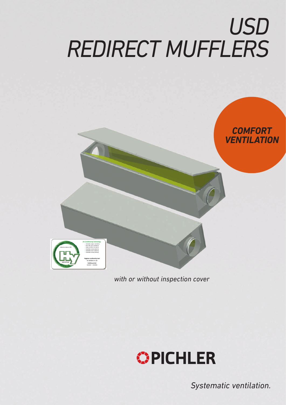# *USD REDIRECT MUFFLERS*



*with or without inspection cover*



*Systematic ventilation.*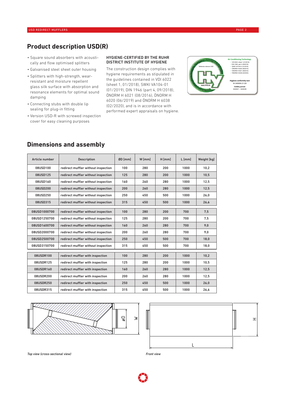## **Product description USD(R)**

- Square sound absorbers with acoustically and flow optimised splitters
- Galvanised steel sheet outer housing
- Splitters with high-strength, wearresistant and moisture repellent glass silk surface with absorption and resonance elements for optimal sound damping
- Connecting stubs with double lip sealing for plug-in fitting
- Version USD-R with screwed inspection cover for easy cleaning purposes

#### HYGIENE-CERTIFIED BY THE RUHR DISTRICT INSTITUTE OF HYGIENE

The construction design complies with hygiene requirements as stipulated in the guidelines contained in VDI 6022 (sheet 1, 01/2018), SWKI VA104-01 (01/2019), DIN 1946 (part 4, 09/2018), ÖNORM H 6021 (08/2016), ÖNORM H 6020 (06/2019) and ÖNORM H 6038 (02/2020), and is in accordance with performed expert appraisals on hygiene.



| Article number | <b>Description</b>                  | ØD [mm] | W [mm] | H [mm] | $L$ [mm] | Weight [kg] |
|----------------|-------------------------------------|---------|--------|--------|----------|-------------|
| 08USD100       | redirect muffler without inspection | 100     | 280    | 200    | 1000     | 10,2        |
| 08USD125       | redirect muffler without inspection | 125     | 280    | 200    | 1000     | 10,5        |
| 08USD160       | redirect muffler without inspection | 160     | 260    | 280    | 1000     | 12,5        |
| 08USD200       | redirect muffler without inspection | 200     | 260    | 280    | 1000     | 12,5        |
| 08USD250       | redirect muffler without inspection | 250     | 450    | 500    | 1000     | 26,0        |
| 08USD315       | redirect muffler without inspection | 315     | 450    | 500    | 1000     | 26,6        |
|                |                                     |         |        |        |          |             |
| 08USD1000700   | redirect muffler without inspection | 100     | 280    | 200    | 700      | 7,5         |
| 08USD1250700   | redirect muffler without inspection | 125     | 280    | 200    | 700      | 7,5         |
| 08USD1600700   | redirect muffler without inspection | 160     | 260    | 280    | 700      | 9,0         |
| 08USD2000700   | redirect muffler without inspection | 200     | 260    | 280    | 700      | 9,0         |
| 08USD2500700   | redirect muffler without inspection | 250     | 450    | 500    | 700      | 18,0        |
| 08USD3150700   | redirect muffler without inspection |         | 450    | 500    | 700      | 18,0        |
|                |                                     |         |        |        |          |             |
| 08USDR100      | redirect muffler with inspection    | 100     | 280    | 200    | 1000     | 10,2        |
| 08USDR125      | redirect muffler with inspection    | 125     | 280    | 200    | 1000     | 10,5        |
| 08USDR160      | redirect muffler with inspection    | 160     | 260    | 280    | 1000     | 12,5        |
| 08USDR200      | redirect muffler with inspection    | 200     | 260    | 280    | 1000     | 12.5        |
| 08USDR250      | redirect muffler with inspection    | 250     | 450    | 500    | 1000     | 26,0        |
| 08USDR315      | redirect muffler with inspection    | 315     | 450    | 500    | 1000     | 26,6        |

## **Dimensions and assembly**





*Top view (cross-sectional view) Front view*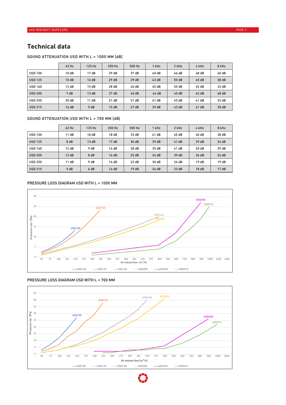## **Technical data**

#### SOUND ATTENUATION USD WITH L = 1000 MM [dB]

|                | 63 Hz | 125 Hz | 250 Hz | 500 Hz | 1 kHz | 2 kHz | 4 kHz | 8 kHz |
|----------------|-------|--------|--------|--------|-------|-------|-------|-------|
| <b>USD 100</b> | 10dB  | 17dB   | 29dB   | 37 dB  | 40 dB | 46 dB | 48 dB | 40 dB |
| <b>USD 125</b> | 10dB  | 16 dB  | 29dB   | 39 dB  | 43dB  | 50 dB | 45dB  | 38 dB |
| <b>USD 160</b> | 12dB  | 15dB   | 28 dB  | 40 dB  | 45 dB | 55 dB | 45 dB | 33 dB |
| <b>USD 200</b> | 7 dB  | 13dB   | 27dB   | 40dB   | 44 dB | 45dB  | 42 dB | 48 dB |
| <b>USD 250</b> | 20 dB | 11dB   | 21 dB  | 31 dB  | 41 dB | 45 dB | 41 dB | 25dB  |
| <b>USD 315</b> | 16 dB | 9 dB   | 15dB   | 27dB   | 39 dB | 43dB  | 41dB  | 28dB  |

#### SOUND ATTENUATION USD WITH L = 700 MM [dB]

|                | 63 Hz | 125 Hz | 250 Hz | 500 Hz | 1 kHz | 2 kHz | 4 kHz | 8 kHz |
|----------------|-------|--------|--------|--------|-------|-------|-------|-------|
| <b>USD 100</b> | 11 dB | 18dB   | 18 dB  | 33 dB  | 41 dB | 45 dB | 40 dB | 38 dB |
| <b>USD 125</b> | 8 dB  | 13dB   | 17dB   | 30 dB  | 39dB  | 41dB  | 39dB  | 34 dB |
| <b>USD 160</b> | 12 dB | 9 dB   | 14 dB  | 28 dB  | 35 dB | 41 dB | 40 dB | 29dB  |
| <b>USD 200</b> | 13dB  | 8 dB   | 16dB   | 25dB   | 34 dB | 39dB  | 36 dB | 26 dB |
| <b>USD 250</b> | 11 dB | 9 dB   | 14 dB  | 22 dB  | 30 dB | 24 dB | 19dB  | 19dB  |
| <b>USD 315</b> | 5 dB  | 6 dB   | 14dB   | 19dB   | 26dB  | 23 dB | 18dB  | 17dB  |

#### PRESSURE LOSS DIAGRAM USD WITH L = 1000 MM



#### PRESSURE LOSS DIAGRAM USD WITH L = 700 MM



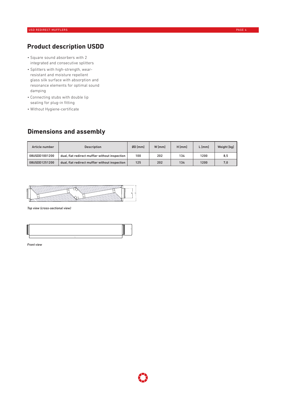## **Product description USDD**

- Square sound absorbers with 2 integrated and consecutive splitters
- Splitters with high-strength, wearresistant and moisture repellent glass silk surface with absorption and resonance elements for optimal sound damping
- Connecting stubs with double lip sealing for plug-in fitting
- Without Hygiene-certificate

## **Dimensions and assembly**

| Article number | <b>Description</b>                             | $ØD$ [mm] | W [mm] | $H$ [mm] | L [mm] | Weight [kg] |
|----------------|------------------------------------------------|-----------|--------|----------|--------|-------------|
| 08USDD1001200  | dual, flat redirect muffler without inspection | 100       | 202    | 134      | 1200   | 8.5         |
| 08USDD1251200  | dual, flat redirect muffler without inspection | 125       | 202    | 134      | 1200   | 7.0         |



*Top view (cross-sectional view)*



*Front view*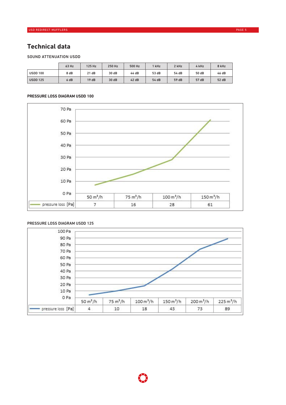## **Technical data**

#### SOUND ATTENUATION USDD

|                 | 63 Hz | 125 Hz | 250 Hz | 500 Hz | 1 kHz | 2 kHz | 4 kHz | 8 kHz |
|-----------------|-------|--------|--------|--------|-------|-------|-------|-------|
| <b>USDD 100</b> | 8 dB  | 21 dB  | 30 dB  | 44 dB  | 53 dB | 54 dB | 50 dB | 46 dB |
| <b>USDD 125</b> | 6 dB  | 19dB   | 30 dB  | 42dB   | 54 dB | 59 dB | 57 dB | 52 dB |

#### PRESSURE LOSS DIAGRAM USDD 100



#### PRESSURE LOSS DIAGRAM USDD 125

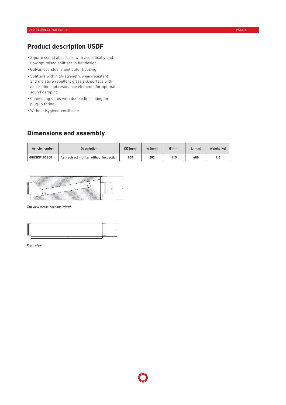## **Product description USDF**

- Square sound absorbers with acoustically and flow optimised splitters in flat design
- Galvanised steel sheet outer housing
- Splitters with high-strength, wear-resistant and moisture repellent glass silk surface with absorption and resonance elements for optimal sound damping
- Connecting stubs with double lip sealing for plug-in fitting
- Without Hygiene-certificate

## **Dimensions and assembly**

| Article number | <b>Description</b>                       | ØD [mm] | W [mm] | H [mm] | L [mm] | Weight [kg] |
|----------------|------------------------------------------|---------|--------|--------|--------|-------------|
| 08USDF100600   | flat redirect muffler without inspection | 100     | 202    | 115    | 600    |             |



*Top view (cross-sectional view)*

*Front view*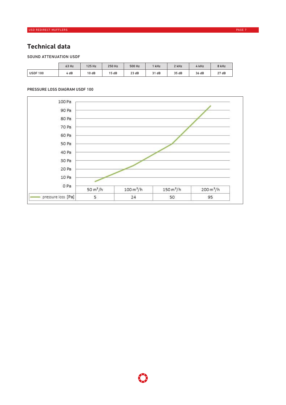## **Technical data**

#### SOUND ATTENUATION USDF

|                | 63 Hz | 125 Hz | 250 Hz | 500 Hz | kHz   | 2 kHz | 4 kHz | 8 kHz |
|----------------|-------|--------|--------|--------|-------|-------|-------|-------|
| <b>USDF100</b> | 4 dB  | 10 dB  | 15dB   | 23 dB  | 31 dB | 35 dB | 36 dB | 27dB  |

#### PRESSURE LOSS DIAGRAM USDF 100